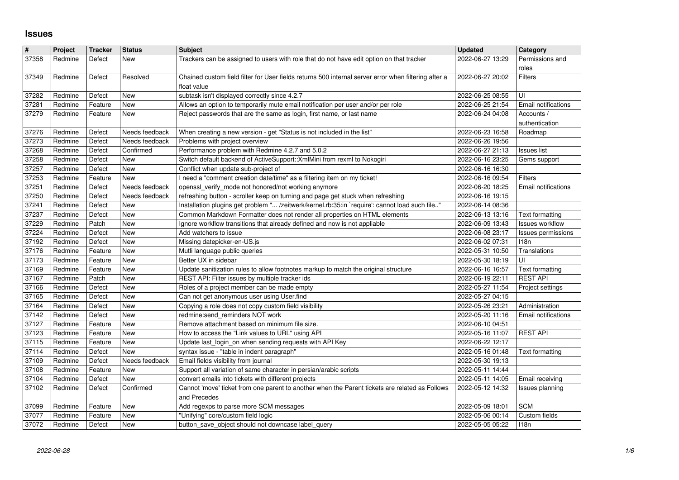## **Issues**

| #<br>37358     | Project<br>Redmine    | Tracker<br>Defect  | <b>Status</b><br>New             | <b>Subject</b>                                                                                                                                            | <b>Updated</b><br>2022-06-27 13:29   | Category<br>Permissions and               |
|----------------|-----------------------|--------------------|----------------------------------|-----------------------------------------------------------------------------------------------------------------------------------------------------------|--------------------------------------|-------------------------------------------|
|                |                       |                    |                                  | Trackers can be assigned to users with role that do not have edit option on that tracker                                                                  |                                      | roles                                     |
| 37349          | Redmine               | Defect             | Resolved                         | Chained custom field filter for User fields returns 500 internal server error when filtering after a<br>float value                                       | 2022-06-27 20:02                     | Filters                                   |
| 37282          | Redmine               | Defect             | New                              | subtask isn't displayed correctly since 4.2.7                                                                                                             | 2022-06-25 08:55                     | UI                                        |
| 37281<br>37279 | Redmine<br>Redmine    | Feature<br>Feature | New<br>New                       | Allows an option to temporarily mute email notification per user and/or per role<br>Reject passwords that are the same as login, first name, or last name | 2022-06-25 21:54<br>2022-06-24 04:08 | Email notifications<br>Accounts /         |
|                |                       |                    |                                  |                                                                                                                                                           |                                      | authentication                            |
| 37276<br>37273 | Redmine<br>Redmine    | Defect<br>Defect   | Needs feedback<br>Needs feedback | When creating a new version - get "Status is not included in the list"<br>Problems with project overview                                                  | 2022-06-23 16:58<br>2022-06-26 19:56 | Roadmap                                   |
| 37268          | Redmine               | Defect             | Confirmed                        | Performance problem with Redmine 4.2.7 and 5.0.2                                                                                                          | 2022-06-27 21:13                     | <b>Issues list</b>                        |
| 37258<br>37257 | Redmine<br>Redmine    | Defect<br>Defect   | New<br>New                       | Switch default backend of ActiveSupport:: XmlMini from rexml to Nokogiri<br>Conflict when update sub-project of                                           | 2022-06-16 23:25<br>2022-06-16 16:30 | Gems support                              |
| 37253          | Redmine               | Feature            | New                              | I need a "comment creation date/time" as a filtering item on my ticket!                                                                                   | 2022-06-16 09:54                     | Filters                                   |
| 37251<br>37250 | Redmine<br>Redmine    | Defect<br>Defect   | Needs feedback<br>Needs feedback | openssl_verify_mode not honored/not working anymore<br>refreshing button - scroller keep on turning and page get stuck when refreshing                    | 2022-06-20 18:25<br>2022-06-16 19:15 | Email notifications                       |
| 37241          | Redmine               | Defect             | New                              | Installation plugins get problem " /zeitwerk/kernel.rb:35:in `require': cannot load such file"                                                            | 2022-06-14 08:36                     |                                           |
| 37237<br>37229 | Redmine<br>Redmine    | Defect<br>Patch    | <b>New</b><br>New                | Common Markdown Formatter does not render all properties on HTML elements                                                                                 | 2022-06-13 13:16<br>2022-06-09 13:43 | Text formatting<br><b>Issues workflow</b> |
| 37224          | Redmine               | Defect             | New                              | Ignore workflow transitions that already defined and now is not appliable<br>Add watchers to issue                                                        | 2022-06-08 23:17                     | Issues permissions                        |
| 37192<br>37176 | Redmine<br>Redmine    | Defect<br>Feature  | New<br>New                       | Missing datepicker-en-US.js<br>Mutli language public queries                                                                                              | 2022-06-02 07:31<br>2022-05-31 10:50 | 118n<br>Translations                      |
| 37173          | Redmine               | Feature            | New                              | Better UX in sidebar                                                                                                                                      | 2022-05-30 18:19                     | UI                                        |
| 37169          | Redmine               | Feature            | New                              | Update sanitization rules to allow footnotes markup to match the original structure                                                                       | 2022-06-16 16:57                     | Text formatting                           |
| 37167<br>37166 | Redmine<br>Redmine    | Patch<br>Defect    | New<br>New                       | REST API: Filter issues by multiple tracker ids<br>Roles of a project member can be made empty                                                            | 2022-06-19 22:11<br>2022-05-27 11:54 | <b>REST API</b><br>Project settings       |
| 37165          | Redmine               | Defect             | <b>New</b>                       | Can not get anonymous user using User.find                                                                                                                | 2022-05-27 04:15                     |                                           |
| 37164<br>37142 | Redmine<br>Redmine    | Defect<br>Defect   | New<br>New                       | Copying a role does not copy custom field visibility<br>redmine:send_reminders NOT work                                                                   | 2022-05-26 23:21<br>2022-05-20 11:16 | Administration<br>Email notifications     |
| 37127          | Redmine               | Feature            | New                              | Remove attachment based on minimum file size.                                                                                                             | 2022-06-10 04:51                     |                                           |
| 37123<br>37115 | Redmine<br>Redmine    | Feature<br>Feature | New<br>New                       | How to access the "Link values to URL" using API<br>Update last_login_on when sending requests with API Key                                               | 2022-05-16 11:07<br>2022-06-22 12:17 | <b>REST API</b>                           |
| 37114          | Redmine               | Defect             | New                              | syntax issue - "table in indent paragraph"                                                                                                                | 2022-05-16 01:48                     | Text formatting                           |
| 37109<br>37108 | Redmine<br>Redmine    | Defect<br>Feature  | Needs feedback<br>New            | Email fields visibility from journal<br>Support all variation of same character in persian/arabic scripts                                                 | 2022-05-30 19:13<br>2022-05-11 14:44 |                                           |
| 37104          | Redmine               | Defect             | New                              | convert emails into tickets with different projects                                                                                                       | 2022-05-11 14:05                     | Email receiving                           |
| 37102          | Redmine               | Defect             | Confirmed                        | Cannot 'move' ticket from one parent to another when the Parent tickets are related as Follows<br>and Precedes                                            | 2022-05-12 14:32                     | Issues planning                           |
|                | 37099 Redmine Feature |                    | New                              | Add regexps to parse more SCM messages                                                                                                                    | 2022-05-09 18:01                     | <b>SCM</b>                                |
| 37077<br>37072 | Redmine<br>Redmine    | Feature<br>Defect  | New<br>New                       | "Unifying" core/custom field logic<br>button save object should not downcase label query                                                                  | 2022-05-06 00:14<br>2022-05-05 05:22 | Custom fields<br>118n                     |
|                |                       |                    |                                  |                                                                                                                                                           |                                      |                                           |
|                |                       |                    |                                  |                                                                                                                                                           |                                      |                                           |
|                |                       |                    |                                  |                                                                                                                                                           |                                      |                                           |
|                |                       |                    |                                  |                                                                                                                                                           |                                      |                                           |
|                |                       |                    |                                  |                                                                                                                                                           |                                      |                                           |
|                |                       |                    |                                  |                                                                                                                                                           |                                      |                                           |
|                |                       |                    |                                  |                                                                                                                                                           |                                      |                                           |
|                |                       |                    |                                  |                                                                                                                                                           |                                      |                                           |
|                |                       |                    |                                  |                                                                                                                                                           |                                      |                                           |
|                |                       |                    |                                  |                                                                                                                                                           |                                      |                                           |
|                |                       |                    |                                  |                                                                                                                                                           |                                      |                                           |
|                |                       |                    |                                  |                                                                                                                                                           |                                      |                                           |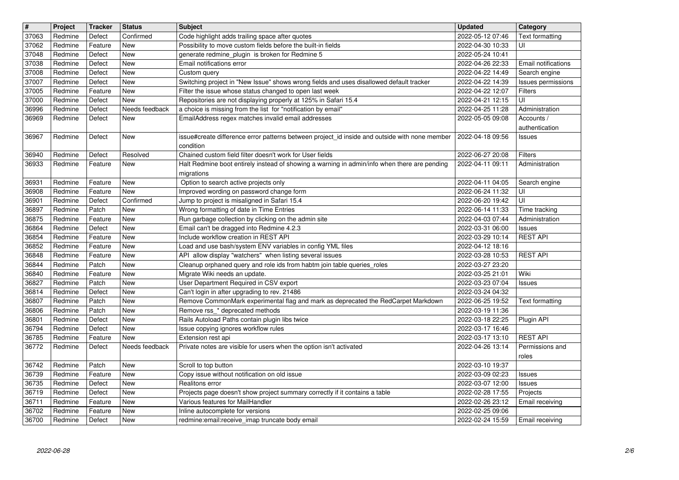| $\overline{\mathbf{H}}$ | Project            | <b>Tracker</b>     | <b>Status</b>            | <b>Subject</b>                                                                                                                                                         | <b>Updated</b>                       | Category                                       |
|-------------------------|--------------------|--------------------|--------------------------|------------------------------------------------------------------------------------------------------------------------------------------------------------------------|--------------------------------------|------------------------------------------------|
| 37063<br>37062          | Redmine<br>Redmine | Defect<br>Feature  | Confirmed<br>New         | Code highlight adds trailing space after quotes<br>Possibility to move custom fields before the built-in fields                                                        | 2022-05-12 07:46<br>2022-04-30 10:33 | <b>Text formatting</b><br>UI                   |
| 37048                   | Redmine            | Defect             | <b>New</b>               | generate redmine_plugin is broken for Redmine 5                                                                                                                        | 2022-05-24 10:41                     |                                                |
| 37038                   | Redmine            | Defect             | <b>New</b>               | Email notifications error                                                                                                                                              | 2022-04-26 22:33                     | Email notifications                            |
| 37008<br>37007          | Redmine<br>Redmine | Defect<br>Defect   | New<br><b>New</b>        | Custom query<br>Switching project in "New Issue" shows wrong fields and uses disallowed default tracker                                                                | 2022-04-22 14:49<br>2022-04-22 14:39 | Search engine<br>Issues permissions            |
| 37005                   | Redmine            | Feature            | New                      | Filter the issue whose status changed to open last week                                                                                                                | 2022-04-22 12:07                     | Filters                                        |
| 37000                   | Redmine            | Defect             | New                      | Repositories are not displaying properly at 125% in Safari 15.4                                                                                                        | 2022-04-21 12:15                     | UI                                             |
| 36996<br>36969          | Redmine<br>Redmine | Defect<br>Defect   | Needs feedback<br>New    | a choice is missing from the list for "notification by email"<br>EmailAddress regex matches invalid email addresses                                                    | 2022-04-25 11:28<br>2022-05-05 09:08 | Administration<br>Accounts /<br>authentication |
| 36967                   | Redmine            | Defect             | New                      | issue#create difference error patterns between project id inside and outside with none member<br>condition                                                             | 2022-04-18 09:56                     | <b>Issues</b>                                  |
| 36940<br>36933          | Redmine<br>Redmine | Defect<br>Feature  | Resolved<br><b>New</b>   | Chained custom field filter doesn't work for User fields<br>Halt Redmine boot entirely instead of showing a warning in admin/info when there are pending<br>migrations | 2022-06-27 20:08<br>2022-04-11 09:11 | Filters<br>Administration                      |
| 36931                   | Redmine            | Feature            | New                      | Option to search active projects only                                                                                                                                  | 2022-04-11 04:05                     | Search engine                                  |
| 36908                   | Redmine            | Feature            | New                      | Improved wording on password change form                                                                                                                               | 2022-06-24 11:32                     | UI                                             |
| 36901<br>36897          | Redmine<br>Redmine | Defect<br>Patch    | Confirmed<br>New         | Jump to project is misaligned in Safari 15.4<br>Wrong formatting of date in Time Entries                                                                               | 2022-06-20 19:42<br>2022-06-14 11:33 | UI<br>Time tracking                            |
| 36875                   | Redmine            | Feature            | New                      | Run garbage collection by clicking on the admin site                                                                                                                   | 2022-04-03 07:44                     | Administration                                 |
| 36864                   | Redmine            | Defect             | <b>New</b><br><b>New</b> | Email can't be dragged into Redmine 4.2.3<br>Include workflow creation in REST API                                                                                     | 2022-03-31 06:00                     | Issues<br><b>REST API</b>                      |
| 36854<br>36852          | Redmine<br>Redmine | Feature<br>Feature | <b>New</b>               | Load and use bash/system ENV variables in config YML files                                                                                                             | 2022-03-29 10:14<br>2022-04-12 18:16 |                                                |
| 36848                   | Redmine            | Feature            | New                      | API allow display "watchers" when listing several issues                                                                                                               | 2022-03-28 10:53                     | <b>REST API</b>                                |
| 36844<br>36840          | Redmine<br>Redmine | Patch<br>Feature   | <b>New</b><br>New        | Cleanup orphaned query and role ids from habtm join table queries_roles<br>Migrate Wiki needs an update.                                                               | 2022-03-27 23:20<br>2022-03-25 21:01 | Wiki                                           |
| 36827                   | Redmine            | Patch              | <b>New</b>               | User Department Required in CSV export                                                                                                                                 | 2022-03-23 07:04                     | Issues                                         |
| 36814<br>36807          | Redmine<br>Redmine | Defect<br>Patch    | <b>New</b><br><b>New</b> | Can't login in after upgrading to rev. 21486<br>Remove CommonMark experimental flag and mark as deprecated the RedCarpet Markdown                                      | 2022-03-24 04:32<br>2022-06-25 19:52 | <b>Text formatting</b>                         |
| 36806                   | Redmine            | Patch              | <b>New</b>               | Remove rss_* deprecated methods                                                                                                                                        | 2022-03-19 11:36                     |                                                |
| 36801                   | Redmine            | Defect             | <b>New</b><br>New        | Rails Autoload Paths contain plugin libs twice                                                                                                                         | 2022-03-18 22:25                     | Plugin API                                     |
| 36794<br>36785          | Redmine<br>Redmine | Defect<br>Feature  | New                      | Issue copying ignores workflow rules<br>Extension rest api                                                                                                             | 2022-03-17 16:46<br>2022-03-17 13:10 | <b>REST API</b>                                |
| 36772                   | Redmine            | Defect             | Needs feedback           | Private notes are visible for users when the option isn't activated                                                                                                    | 2022-04-26 13:14                     | Permissions and                                |
| 36742                   | Redmine            | Patch              | New                      | Scroll to top button                                                                                                                                                   | 2022-03-10 19:37                     | roles                                          |
| 36739                   | Redmine            | Feature            | New                      | Copy issue without notification on old issue                                                                                                                           | 2022-03-09 02:23                     | Issues                                         |
| 36735                   | Redmine            | Defect             | New                      | Realitons error                                                                                                                                                        | 2022-03-07 12:00                     | Issues                                         |
| 36719<br>36711          | Redmine<br>Redmine | Defect<br>Feature  | New<br>New               | Projects page doesn't show project summary correctly if it contains a table<br>Various features for MailHandler                                                        | 2022-02-28 17:55<br>2022-02-26 23:12 | Projects<br>Email receiving                    |
| 36702                   | Redmine            | Feature            | New                      | Inline autocomplete for versions                                                                                                                                       | 2022-02-25 09:06                     |                                                |
| 36700                   | Redmine            | Defect             | New                      | redmine:email:receive_imap truncate body email                                                                                                                         | 2022-02-24 15:59                     | Email receiving                                |
|                         |                    |                    |                          |                                                                                                                                                                        |                                      |                                                |
|                         |                    |                    |                          |                                                                                                                                                                        |                                      |                                                |
|                         |                    |                    |                          |                                                                                                                                                                        |                                      |                                                |
|                         |                    |                    |                          |                                                                                                                                                                        |                                      |                                                |
|                         |                    |                    |                          |                                                                                                                                                                        |                                      |                                                |
|                         |                    |                    |                          |                                                                                                                                                                        |                                      |                                                |
|                         |                    |                    |                          |                                                                                                                                                                        |                                      |                                                |
|                         |                    |                    |                          |                                                                                                                                                                        |                                      |                                                |
|                         |                    |                    |                          |                                                                                                                                                                        |                                      |                                                |
|                         |                    |                    |                          |                                                                                                                                                                        |                                      |                                                |
|                         |                    |                    |                          |                                                                                                                                                                        |                                      |                                                |
|                         |                    |                    |                          |                                                                                                                                                                        |                                      |                                                |
|                         |                    |                    |                          |                                                                                                                                                                        |                                      |                                                |
|                         |                    |                    |                          |                                                                                                                                                                        |                                      |                                                |
|                         |                    |                    |                          |                                                                                                                                                                        |                                      |                                                |
|                         |                    |                    |                          |                                                                                                                                                                        |                                      |                                                |
|                         |                    |                    |                          |                                                                                                                                                                        |                                      |                                                |
|                         |                    |                    |                          |                                                                                                                                                                        |                                      |                                                |
|                         |                    |                    |                          |                                                                                                                                                                        |                                      |                                                |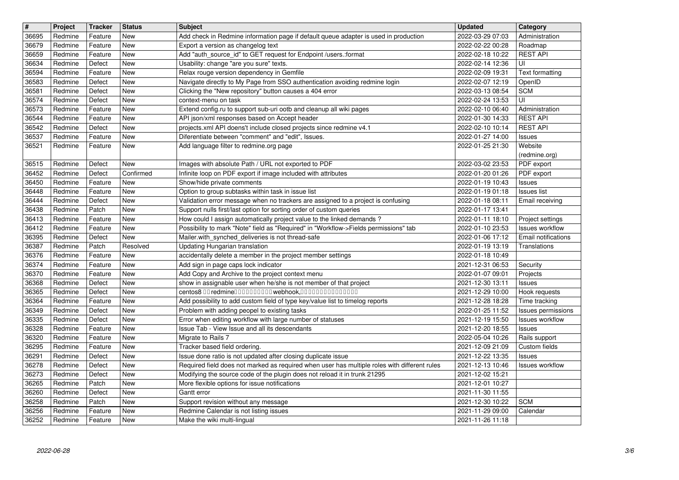| $\overline{\mathbf{H}}$ | Project            | <b>Tracker</b>     | <b>Status</b>           | <b>Subject</b>                                                                                                                                                | <b>Updated</b>                       | Category                                      |
|-------------------------|--------------------|--------------------|-------------------------|---------------------------------------------------------------------------------------------------------------------------------------------------------------|--------------------------------------|-----------------------------------------------|
| 36695<br>36679          | Redmine<br>Redmine | Feature<br>Feature | New<br>New              | Add check in Redmine information page if default queue adapter is used in production<br>Export a version as changelog text                                    | 2022-03-29 07:03<br>2022-02-22 00:28 | Administration<br>Roadmap                     |
| 36659                   | Redmine            | Feature            | New                     | Add "auth_source_id" to GET request for Endpoint /users.:format                                                                                               | 2022-02-18 10:22                     | <b>REST API</b>                               |
| 36634                   | Redmine            | Defect             | New                     | Usability: change "are you sure" texts.                                                                                                                       | 2022-02-14 12:36                     | UI                                            |
| 36594<br>36583          | Redmine<br>Redmine | Feature<br>Defect  | New<br>New              | Relax rouge version dependency in Gemfile<br>Navigate directly to My Page from SSO authentication avoiding redmine login                                      | 2022-02-09 19:31<br>2022-02-07 12:19 | Text formatting<br>OpenID                     |
| 36581                   | Redmine            | Defect             | New                     | Clicking the "New repository" button causes a 404 error                                                                                                       | 2022-03-13 08:54                     | <b>SCM</b>                                    |
| 36574<br>36573          | Redmine<br>Redmine | Defect<br>Feature  | New<br>New              | context-menu on task<br>Extend config.ru to support sub-uri ootb and cleanup all wiki pages                                                                   | 2022-02-24 13:53<br>2022-02-10 06:40 | UI<br>Administration                          |
| 36544                   | Redmine            | Feature            | New                     | API json/xml responses based on Accept header                                                                                                                 | 2022-01-30 14:33                     | <b>REST API</b>                               |
| 36542                   | Redmine            | Defect             | New                     | projects.xml API doens't include closed projects since redmine v4.1                                                                                           | 2022-02-10 10:14                     | <b>REST API</b>                               |
| 36537<br>36521          | Redmine<br>Redmine | Feature<br>Feature | New<br><b>New</b>       | Diferentiate between "comment" and "edit", Issues.<br>Add language filter to redmine.org page                                                                 | 2022-01-27 14:00<br>2022-01-25 21:30 | Issues<br>Website                             |
|                         |                    |                    |                         |                                                                                                                                                               |                                      | (redmine.org)                                 |
| 36515<br>36452          | Redmine<br>Redmine | Defect<br>Defect   | <b>New</b><br>Confirmed | Images with absolute Path / URL not exported to PDF<br>Infinite loop on PDF export if image included with attributes                                          | 2022-03-02 23:53<br>2022-01-20 01:26 | PDF export<br>PDF export                      |
| 36450                   | Redmine            | Feature            | New                     | Show/hide private comments                                                                                                                                    | 2022-01-19 10:43                     | Issues                                        |
| 36448                   | Redmine            | Feature            | New                     | Option to group subtasks within task in issue list                                                                                                            | 2022-01-19 01:18                     | Issues list                                   |
| 36444<br>36438          | Redmine<br>Redmine | Defect<br>Patch    | New<br>New              | Validation error message when no trackers are assigned to a project is confusing<br>Support nulls first/last option for sorting order of custom queries       | 2022-01-18 08:11<br>2022-01-17 13:41 | Email receiving                               |
| 36413                   | Redmine            | Feature            | New                     | How could I assign automatically project value to the linked demands?                                                                                         | 2022-01-11 18:10                     | Project settings                              |
| 36412<br>36395          | Redmine<br>Redmine | Feature<br>Defect  | New<br><b>New</b>       | Possibility to mark "Note" field as "Required" in "Workflow->Fields permissions" tab<br>Mailer.with_synched_deliveries is not thread-safe                     | 2022-01-10 23:53<br>2022-01-06 17:12 | <b>Issues workflow</b><br>Email notifications |
| 36387                   | Redmine            | Patch              | Resolved                | Updating Hungarian translation                                                                                                                                | 2022-01-19 13:19                     | Translations                                  |
| 36376                   | Redmine            | Feature            | New                     | accidentally delete a member in the project member settings                                                                                                   | 2022-01-18 10:49                     |                                               |
| 36374<br>36370          | Redmine<br>Redmine | Feature<br>Feature | New<br>New              | Add sign in page caps lock indicator<br>Add Copy and Archive to the project context menu                                                                      | 2021-12-31 06:53<br>2022-01-07 09:01 | Security<br>Projects                          |
| 36368                   | Redmine            | Defect             | New                     | show in assignable user when he/she is not member of that project                                                                                             | 2021-12-30 13:11                     | <b>Issues</b>                                 |
| 36365<br>36364          | Redmine<br>Redmine | Defect<br>Feature  | New<br>New              | centos8 00 redmine0000000000 webhook,000000000000000<br>Add possibility to add custom field of type key/value list to timelog reports                         | 2021-12-29 10:00<br>2021-12-28 18:28 | Hook requests<br>Time tracking                |
| 36349                   | Redmine            | Defect             | <b>New</b>              | Problem with adding peopel to existing tasks                                                                                                                  | 2022-01-25 11:52                     | Issues permissions                            |
| 36335                   | Redmine            | Defect             | New                     | Error when editing workflow with large number of statuses                                                                                                     | 2021-12-19 15:50                     | <b>Issues workflow</b>                        |
| 36328<br>36320          | Redmine<br>Redmine | Feature<br>Feature | New<br>New              | Issue Tab - View Issue and all its descendants<br>Migrate to Rails 7                                                                                          | 2021-12-20 18:55<br>2022-05-04 10:26 | Issues<br>Rails support                       |
| 36295                   | Redmine            | Feature            | New                     | Tracker based field ordering.                                                                                                                                 | 2021-12-09 21:09                     | Custom fields                                 |
| 36291<br>36278          | Redmine<br>Redmine | Defect<br>Defect   | New<br>New              | Issue done ratio is not updated after closing duplicate issue<br>Required field does not marked as required when user has multiple roles with different rules | 2021-12-22 13:35<br>2021-12-13 10:46 | <b>Issues</b><br><b>Issues workflow</b>       |
| 36273                   | Redmine            | Defect             | New                     | Modifying the source code of the plugin does not reload it in trunk 21295                                                                                     | 2021-12-02 15:21                     |                                               |
| 36265                   | Redmine            | Patch              | New                     | More flexible options for issue notifications                                                                                                                 | 2021-12-01 10:27                     |                                               |
| 36260<br>36258          | Redmine<br>Redmine | Defect<br>Patch    | New<br>New              | Gantt error<br>Support revision without any message                                                                                                           | 2021-11-30 11:55<br>2021-12-30 10:22 | <b>SCM</b>                                    |
| 36256<br>36252          | Redmine<br>Redmine | Feature<br>Feature | New<br>New              | Redmine Calendar is not listing issues<br>Make the wiki multi-lingual                                                                                         | 2021-11-29 09:00<br>2021-11-26 11:18 | Calendar                                      |
|                         |                    |                    |                         |                                                                                                                                                               |                                      |                                               |
|                         |                    |                    |                         |                                                                                                                                                               |                                      |                                               |
|                         |                    |                    |                         |                                                                                                                                                               |                                      |                                               |
|                         |                    |                    |                         |                                                                                                                                                               |                                      |                                               |
|                         |                    |                    |                         |                                                                                                                                                               |                                      |                                               |
|                         |                    |                    |                         |                                                                                                                                                               |                                      |                                               |
|                         |                    |                    |                         |                                                                                                                                                               |                                      |                                               |
|                         |                    |                    |                         |                                                                                                                                                               |                                      |                                               |
|                         |                    |                    |                         |                                                                                                                                                               |                                      |                                               |
|                         |                    |                    |                         |                                                                                                                                                               |                                      |                                               |
|                         |                    |                    |                         |                                                                                                                                                               |                                      |                                               |
|                         |                    |                    |                         |                                                                                                                                                               |                                      |                                               |
|                         |                    |                    |                         |                                                                                                                                                               |                                      |                                               |
|                         |                    |                    |                         |                                                                                                                                                               |                                      |                                               |
|                         |                    |                    |                         |                                                                                                                                                               |                                      |                                               |
|                         |                    |                    |                         |                                                                                                                                                               |                                      |                                               |
|                         |                    |                    |                         |                                                                                                                                                               |                                      |                                               |
|                         |                    |                    |                         |                                                                                                                                                               |                                      |                                               |
|                         |                    |                    |                         |                                                                                                                                                               |                                      |                                               |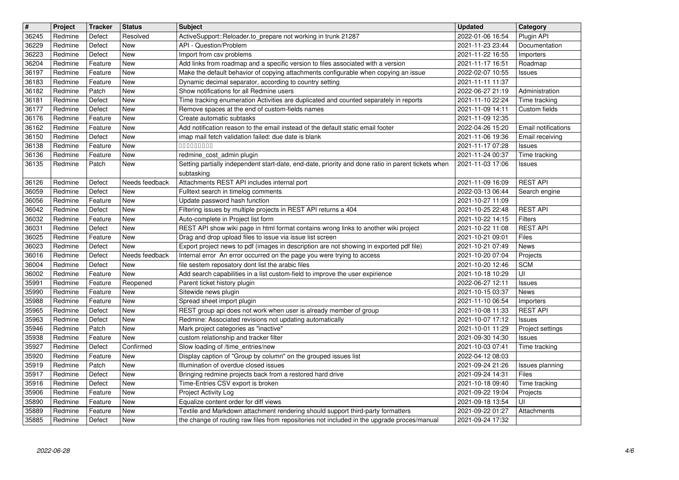| $\overline{\mathbf{H}}$ | Project            | <b>Tracker</b>     | <b>Status</b>         | <b>Subject</b>                                                                                                                                 | <b>Updated</b>                       | Category                          |
|-------------------------|--------------------|--------------------|-----------------------|------------------------------------------------------------------------------------------------------------------------------------------------|--------------------------------------|-----------------------------------|
| 36245<br>36229          | Redmine<br>Redmine | Defect<br>Defect   | Resolved<br>New       | ActiveSupport::Reloader.to_prepare not working in trunk 21287<br>API - Question/Problem                                                        | 2022-01-06 16:54<br>2021-11-23 23:44 | Plugin API<br>Documentation       |
| 36223                   | Redmine            | Defect             | <b>New</b>            | Import from csv problems                                                                                                                       | 2021-11-22 16:55                     | Importers                         |
| 36204                   | Redmine            | Feature            | New                   | Add links from roadmap and a specific version to files associated with a version                                                               | 2021-11-17 16:51                     | Roadmap                           |
| 36197<br>36183          | Redmine<br>Redmine | Feature<br>Feature | New<br>New            | Make the default behavior of copying attachments configurable when copying an issue<br>Dynamic decimal separator, according to country setting | 2022-02-07 10:55<br>2021-11-11 11:37 | <b>Issues</b>                     |
| 36182                   | Redmine            | Patch              | New                   | Show notifications for all Redmine users                                                                                                       | 2022-06-27 21:19                     | Administration                    |
| 36181                   | Redmine            | Defect             | New                   | Time tracking enumeration Activities are duplicated and counted separately in reports                                                          | 2021-11-10 22:24                     | Time tracking                     |
| 36177<br>36176          | Redmine<br>Redmine | Defect<br>Feature  | New<br>New            | Remove spaces at the end of custom-fields names<br>Create automatic subtasks                                                                   | 2021-11-09 14:11<br>2021-11-09 12:35 | Custom fields                     |
| 36162                   | Redmine            | Feature            | New                   | Add notification reason to the email instead of the default static email footer                                                                | 2022-04-26 15:20                     | Email notifications               |
| 36150                   | Redmine            | Defect             | New                   | imap mail fetch validation failed: due date is blank                                                                                           | 2021-11-06 19:36                     | Email receiving                   |
| 36138<br>36136          | Redmine<br>Redmine | Feature<br>Feature | New<br>New            | 00000000<br>redmine_cost_admin plugin                                                                                                          | 2021-11-17 07:28<br>2021-11-24 00:37 | Issues<br>Time tracking           |
| 36135                   | Redmine            | Patch              | New                   | Setting partially independent start-date, end-date, priority and done ratio in parent tickets when                                             | 2021-11-03 17:06                     | Issues                            |
|                         |                    |                    |                       | subtasking                                                                                                                                     |                                      |                                   |
| 36126<br>36059          | Redmine<br>Redmine | Defect<br>Defect   | Needs feedback<br>New | Attachments REST API includes internal port<br>Fulltext search in timelog comments                                                             | 2021-11-09 16:09<br>2022-03-13 06:44 | <b>REST API</b><br>Search engine  |
| 36056                   | Redmine            | Feature            | New                   | Update password hash function                                                                                                                  | 2021-10-27 11:09                     |                                   |
| 36042                   | Redmine            | Defect             | New                   | Filtering issues by multiple projects in REST API returns a 404                                                                                | 2021-10-25 22:48                     | <b>REST API</b>                   |
| 36032<br>36031          | Redmine<br>Redmine | Feature<br>Defect  | New<br>New            | Auto-complete in Project list form<br>REST API show wiki page in html format contains wrong links to another wiki project                      | 2021-10-22 14:15<br>2021-10-22 11:08 | Filters<br><b>REST API</b>        |
| 36025                   | Redmine            | Feature            | New                   | Drag and drop upload files to issue via issue list screen                                                                                      | 2021-10-21 09:01                     | Files                             |
| 36023                   | Redmine            | Defect             | New                   | Export project news to pdf (images in description are not showing in exported pdf file)                                                        | 2021-10-21 07:49                     | News                              |
| 36016<br>36004          | Redmine<br>Redmine | Defect<br>Defect   | Needs feedback<br>New | Internal error An error occurred on the page you were trying to access<br>file sestem reposatory dont list the arabic files                    | 2021-10-20 07:04<br>2021-10-20 12:46 | Projects<br><b>SCM</b>            |
| 36002                   | Redmine            | Feature            | New                   | Add search capabilities in a list custom-field to improve the user expirience                                                                  | 2021-10-18 10:29                     | UI                                |
| 35991                   | Redmine            | Feature            | Reopened              | Parent ticket history plugin                                                                                                                   | 2022-06-27 12:11                     | <b>Issues</b>                     |
| 35990<br>35988          | Redmine<br>Redmine | Feature<br>Feature | New<br>New            | Sitewide news plugin<br>Spread sheet import plugin                                                                                             | 2021-10-15 03:37<br>2021-11-10 06:54 | News<br>Importers                 |
| 35965                   | Redmine            | Defect             | New                   | REST group api does not work when user is already member of group                                                                              | 2021-10-08 11:33                     | <b>REST API</b>                   |
| 35963                   | Redmine            | Defect             | New                   | Redmine: Associated revisions not updating automatically                                                                                       | 2021-10-07 17:12                     | <b>Issues</b>                     |
| 35946<br>35938          | Redmine<br>Redmine | Patch<br>Feature   | New<br>New            | Mark project categories as "inactive"<br>custom relationship and tracker filter                                                                | 2021-10-01 11:29<br>2021-09-30 14:30 | Project settings<br><b>Issues</b> |
| 35927                   | Redmine            | Defect             | Confirmed             | Slow loading of /time_entries/new                                                                                                              | 2021-10-03 07:41                     | Time tracking                     |
| 35920                   | Redmine            | Feature            | New                   | Display caption of "Group by column" on the grouped issues list                                                                                | 2022-04-12 08:03                     |                                   |
| 35919<br>35917          | Redmine<br>Redmine | Patch<br>Defect    | New<br>New            | Illumination of overdue closed issues<br>Bringing redmine projects back from a restored hard drive                                             | 2021-09-24 21:26<br>2021-09-24 14:31 | Issues planning<br>Files          |
| 35916                   | Redmine            | Defect             | New                   | Time-Entries CSV export is broken                                                                                                              | 2021-10-18 09:40                     | Time tracking                     |
| 35906                   | Redmine            | Feature            | New                   | Project Activity Log                                                                                                                           | 2021-09-22 19:04                     | Projects                          |
| 35890<br>35889          | Redmine<br>Redmine | Feature<br>Feature | New<br>New            | Equalize content order for diff views<br>Textile and Markdown attachment rendering should support third-party formatters                       | 2021-09-18 13:54<br>2021-09-22 01:27 | UI<br>Attachments                 |
| 35885                   | Redmine            | Defect             | New                   | the change of routing raw files from repositories not included in the upgrade proces/manual                                                    | 2021-09-24 17:32                     |                                   |
|                         |                    |                    |                       |                                                                                                                                                |                                      |                                   |
|                         |                    |                    |                       |                                                                                                                                                |                                      |                                   |
|                         |                    |                    |                       |                                                                                                                                                |                                      |                                   |
|                         |                    |                    |                       |                                                                                                                                                |                                      |                                   |
|                         |                    |                    |                       |                                                                                                                                                |                                      |                                   |
|                         |                    |                    |                       |                                                                                                                                                |                                      |                                   |
|                         |                    |                    |                       |                                                                                                                                                |                                      |                                   |
|                         |                    |                    |                       |                                                                                                                                                |                                      |                                   |
|                         |                    |                    |                       |                                                                                                                                                |                                      |                                   |
|                         |                    |                    |                       |                                                                                                                                                |                                      |                                   |
|                         |                    |                    |                       |                                                                                                                                                |                                      |                                   |
|                         |                    |                    |                       |                                                                                                                                                |                                      |                                   |
|                         |                    |                    |                       |                                                                                                                                                |                                      |                                   |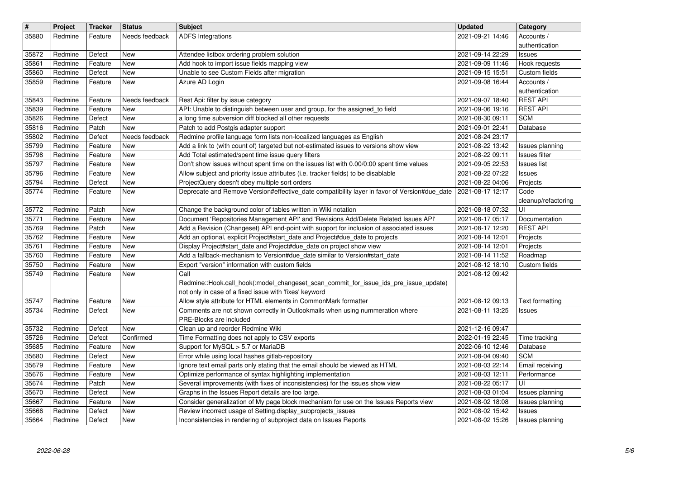| $\overline{\mathbf{H}}$ | Project | <b>Tracker</b> | <b>Status</b>  | <b>Subject</b>                                                                               | <b>Updated</b>   | Category                           |
|-------------------------|---------|----------------|----------------|----------------------------------------------------------------------------------------------|------------------|------------------------------------|
| 35880                   | Redmine | Feature        | Needs feedback | <b>ADFS Integrations</b>                                                                     | 2021-09-21 14:46 | Accounts /                         |
|                         |         |                |                |                                                                                              |                  | authentication                     |
| 35872                   | Redmine | Defect         | New            | Attendee listbox ordering problem solution                                                   | 2021-09-14 22:29 | Issues                             |
| 35861                   | Redmine | Feature        | New            | Add hook to import issue fields mapping view                                                 | 2021-09-09 11:46 | Hook requests                      |
| 35860                   | Redmine | Defect         | New            | Unable to see Custom Fields after migration                                                  | 2021-09-15 15:51 | Custom fields                      |
| 35859                   | Redmine | Feature        | New            | Azure AD Login                                                                               | 2021-09-08 16:44 | Accounts /                         |
|                         |         |                |                |                                                                                              |                  | authentication                     |
| 35843                   | Redmine | Feature        | Needs feedback | Rest Api: filter by issue category                                                           | 2021-09-07 18:40 | <b>REST API</b>                    |
| 35839                   | Redmine | Feature        | New            | API: Unable to distinguish between user and group, for the assigned_to field                 | 2021-09-06 19:16 | <b>REST API</b>                    |
| 35826                   | Redmine | Defect         | New            | a long time subversion diff blocked all other requests                                       | 2021-08-30 09:11 | <b>SCM</b>                         |
| 35816                   | Redmine | Patch          | New            | Patch to add Postgis adapter support                                                         | 2021-09-01 22:41 | Database                           |
| 35802                   | Redmine | Defect         | Needs feedback | Redmine profile language form lists non-localized languages as English                       | 2021-08-24 23:17 |                                    |
| 35799                   | Redmine | Feature        | New            | Add a link to (with count of) targeted but not-estimated issues to versions show view        | 2021-08-22 13:42 | Issues planning                    |
| 35798                   | Redmine | Feature        | New            | Add Total estimated/spent time issue query filters                                           | 2021-08-22 09:11 | Issues filter                      |
| 35797                   | Redmine | Feature        | New            | Don't show issues without spent time on the issues list with 0.00/0:00 spent time values     | 2021-09-05 22:53 | <b>Issues list</b>                 |
| 35796                   | Redmine | Feature        | New            | Allow subject and priority issue attributes (i.e. tracker fields) to be disablable           | 2021-08-22 07:22 | Issues                             |
| 35794                   | Redmine | Defect         | New            | ProjectQuery doesn't obey multiple sort orders                                               | 2021-08-22 04:06 | Projects                           |
| 35774                   | Redmine | Feature        | New            | Deprecate and Remove Version#effective date compatibility layer in favor of Version#due date | 2021-08-17 12:17 | Code                               |
|                         |         |                |                |                                                                                              |                  | cleanup/refactoring                |
| 35772                   | Redmine | Patch          | New            | Change the background color of tables written in Wiki notation                               | 2021-08-18 07:32 | UI                                 |
| 35771                   | Redmine | Feature        | New            | Document 'Repositories Management API' and 'Revisions Add/Delete Related Issues API'         | 2021-08-17 05:17 | Documentation                      |
| 35769                   | Redmine | Patch          | New            | Add a Revision (Changeset) API end-point with support for inclusion of associated issues     | 2021-08-17 12:20 | <b>REST API</b>                    |
| 35762                   | Redmine | Feature        | New            | Add an optional, explicit Project#start_date and Project#due_date to projects                | 2021-08-14 12:01 | Projects                           |
| 35761                   | Redmine | Feature        | New            | Display Project#start_date and Project#due_date on project show view                         | 2021-08-14 12:01 | Projects                           |
| 35760                   | Redmine | Feature        | New            | Add a fallback-mechanism to Version#due_date similar to Version#start_date                   | 2021-08-14 11:52 | Roadmap                            |
| 35750                   | Redmine | Feature        | New            | Export "version" information with custom fields                                              | 2021-08-12 18:10 | Custom fields                      |
| 35749                   | Redmine | Feature        | New            | Call                                                                                         | 2021-08-12 09:42 |                                    |
|                         |         |                |                | Redmine::Hook.call_hook(:model_changeset_scan_commit_for_issue_ids_pre_issue_update)         |                  |                                    |
|                         |         |                |                | not only in case of a fixed issue with 'fixes' keyword                                       |                  |                                    |
| 35747                   | Redmine | Feature        | New            | Allow style attribute for HTML elements in CommonMark formatter                              | 2021-08-12 09:13 | <b>Text formatting</b>             |
| 35734                   | Redmine | Defect         | New            | Comments are not shown correctly in Outlookmails when using nummeration where                | 2021-08-11 13:25 | Issues                             |
|                         |         |                |                | PRE-Blocks are included                                                                      |                  |                                    |
| 35732                   | Redmine | Defect         | New            | Clean up and reorder Redmine Wiki                                                            | 2021-12-16 09:47 |                                    |
| 35726                   | Redmine | Defect         | Confirmed      | Time Formatting does not apply to CSV exports                                                | 2022-01-19 22:45 | Time tracking                      |
| 35685                   | Redmine | Feature        | New            | Support for MySQL > 5.7 or MariaDB                                                           | 2022-06-10 12:46 | Database                           |
| 35680                   | Redmine | Defect         | New            | Error while using local hashes gitlab-repository                                             | 2021-08-04 09:40 | <b>SCM</b>                         |
| 35679                   | Redmine | Feature        | New            | Ignore text email parts only stating that the email should be viewed as HTML                 | 2021-08-03 22:14 | Email receiving                    |
| 35676                   | Redmine | Feature        | New            | Optimize performance of syntax highlighting implementation                                   | 2021-08-03 12:11 | Performance                        |
| 35674                   | Redmine | Patch          | New            | Several improvements (with fixes of inconsistencies) for the issues show view                | 2021-08-22 05:17 | $\overline{\overline{\mathsf{u}}}$ |
| 35670                   | Redmine | Defect         | New            | Graphs in the Issues Report details are too large.                                           | 2021-08-03 01:04 | Issues planning                    |
| 35667                   | Redmine | Feature        | New            | Consider generalization of My page block mechanism for use on the Issues Reports view        | 2021-08-02 18:08 | Issues planning                    |
| 35666                   | Redmine | Defect         | New            | Review incorrect usage of Setting.display_subprojects_issues                                 | 2021-08-02 15:42 | Issues                             |
| 35664                   | Redmine | Defect         | New            | Inconsistencies in rendering of subproject data on Issues Reports                            | 2021-08-02 15:26 | Issues planning                    |
|                         |         |                |                |                                                                                              |                  |                                    |
|                         |         |                |                |                                                                                              |                  |                                    |
|                         |         |                |                |                                                                                              |                  |                                    |
|                         |         |                |                |                                                                                              |                  |                                    |
|                         |         |                |                |                                                                                              |                  |                                    |
|                         |         |                |                |                                                                                              |                  |                                    |
|                         |         |                |                |                                                                                              |                  |                                    |
|                         |         |                |                |                                                                                              |                  |                                    |
|                         |         |                |                |                                                                                              |                  |                                    |
|                         |         |                |                |                                                                                              |                  |                                    |